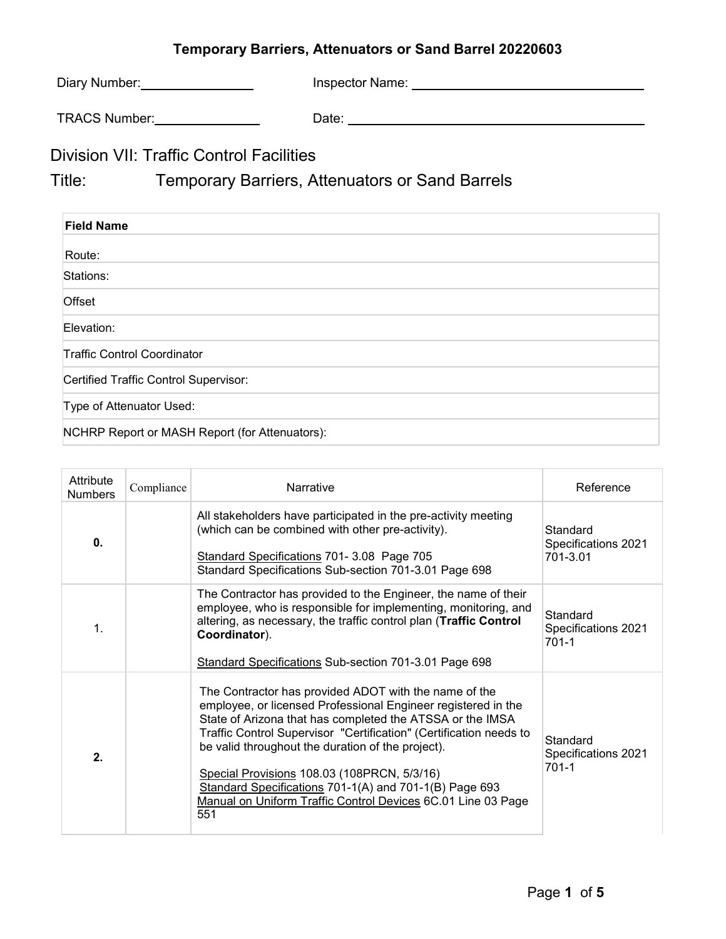## **Temporary Barriers, Attenuators or Sand Barrel 20220603**

| Diary Number: | Inspector Name: |
|---------------|-----------------|
|---------------|-----------------|

TRACS Number: Date: Date: Date:

Division VII: Traffic Control Facilities

Title: Temporary Barriers, Attenuators or Sand Barrels

| <b>Field Name</b>                              |
|------------------------------------------------|
| Route:                                         |
| Stations:                                      |
| Offset                                         |
| Elevation:                                     |
| <b>Traffic Control Coordinator</b>             |
| Certified Traffic Control Supervisor:          |
| Type of Attenuator Used:                       |
| NCHRP Report or MASH Report (for Attenuators): |

| Attribute<br><b>Numbers</b> | Compliance | Narrative                                                                                                                                                                                                                                                                                                                                                                                                                                                                                      | Reference                                   |
|-----------------------------|------------|------------------------------------------------------------------------------------------------------------------------------------------------------------------------------------------------------------------------------------------------------------------------------------------------------------------------------------------------------------------------------------------------------------------------------------------------------------------------------------------------|---------------------------------------------|
| 0.                          |            | All stakeholders have participated in the pre-activity meeting<br>(which can be combined with other pre-activity).<br>Standard Specifications 701-3.08 Page 705<br>Standard Specifications Sub-section 701-3.01 Page 698                                                                                                                                                                                                                                                                       | Standard<br>Specifications 2021<br>701-3.01 |
| 1.                          |            | The Contractor has provided to the Engineer, the name of their<br>employee, who is responsible for implementing, monitoring, and<br>altering, as necessary, the traffic control plan (Traffic Control<br>Coordinator).<br>Standard Specifications Sub-section 701-3.01 Page 698                                                                                                                                                                                                                | Standard<br>Specifications 2021<br>701-1    |
| 2.                          |            | The Contractor has provided ADOT with the name of the<br>employee, or licensed Professional Engineer registered in the<br>State of Arizona that has completed the ATSSA or the IMSA<br>Traffic Control Supervisor "Certification" (Certification needs to<br>be valid throughout the duration of the project).<br>Special Provisions 108.03 (108PRCN, 5/3/16)<br>Standard Specifications 701-1(A) and 701-1(B) Page 693<br>Manual on Uniform Traffic Control Devices 6C.01 Line 03 Page<br>551 | Standard<br>Specifications 2021<br>701-1    |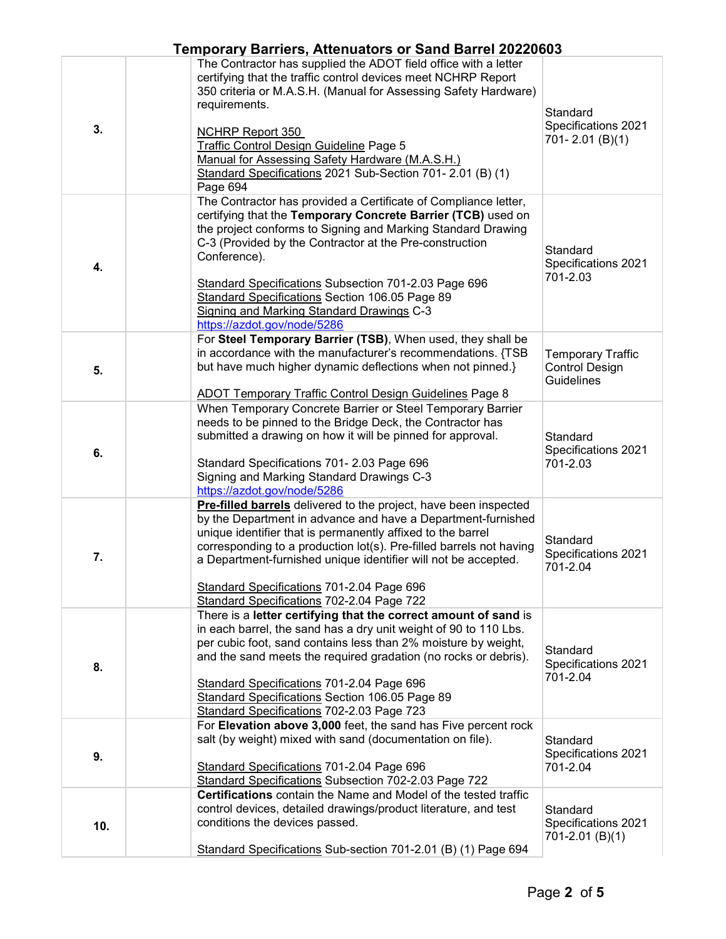| <b>Temporary Barriers, Attenuators or Sand Barrel 20220603</b> |                                                                                                                                                                                                                                                                                                                                                                                                                                                                  |                                                                 |  |
|----------------------------------------------------------------|------------------------------------------------------------------------------------------------------------------------------------------------------------------------------------------------------------------------------------------------------------------------------------------------------------------------------------------------------------------------------------------------------------------------------------------------------------------|-----------------------------------------------------------------|--|
| 3.                                                             | The Contractor has supplied the ADOT field office with a letter<br>certifying that the traffic control devices meet NCHRP Report<br>350 criteria or M.A.S.H. (Manual for Assessing Safety Hardware)<br>requirements.<br><b>NCHRP Report 350</b><br>Traffic Control Design Guideline Page 5<br>Manual for Assessing Safety Hardware (M.A.S.H.)<br>Standard Specifications 2021 Sub-Section 701- 2.01 (B) (1)<br>Page 694                                          | Standard<br>Specifications 2021<br>701-2.01 (B)(1)              |  |
| 4.                                                             | The Contractor has provided a Certificate of Compliance letter,<br>certifying that the Temporary Concrete Barrier (TCB) used on<br>the project conforms to Signing and Marking Standard Drawing<br>C-3 (Provided by the Contractor at the Pre-construction<br>Conference).<br>Standard Specifications Subsection 701-2.03 Page 696<br>Standard Specifications Section 106.05 Page 89<br>Signing and Marking Standard Drawings C-3<br>https://azdot.gov/node/5286 | Standard<br>Specifications 2021<br>701-2.03                     |  |
| 5.                                                             | For Steel Temporary Barrier (TSB), When used, they shall be<br>in accordance with the manufacturer's recommendations. {TSB<br>but have much higher dynamic deflections when not pinned.}<br><b>ADOT Temporary Traffic Control Design Guidelines Page 8</b>                                                                                                                                                                                                       | <b>Temporary Traffic</b><br><b>Control Design</b><br>Guidelines |  |
| 6.                                                             | When Temporary Concrete Barrier or Steel Temporary Barrier<br>needs to be pinned to the Bridge Deck, the Contractor has<br>submitted a drawing on how it will be pinned for approval.<br>Standard Specifications 701- 2.03 Page 696<br>Signing and Marking Standard Drawings C-3<br>https://azdot.gov/node/5286                                                                                                                                                  | Standard<br>Specifications 2021<br>701-2.03                     |  |
| 7.                                                             | Pre-filled barrels delivered to the project, have been inspected<br>by the Department in advance and have a Department-furnished<br>unique identifier that is permanently affixed to the barrel<br>corresponding to a production lot(s). Pre-filled barrels not having<br>a Department-furnished unique identifier will not be accepted.<br>Standard Specifications 701-2.04 Page 696<br>Standard Specifications 702-2.04 Page 722                               | Standard<br>Specifications 2021<br>701-2.04                     |  |
| 8.                                                             | There is a letter certifying that the correct amount of sand is<br>in each barrel, the sand has a dry unit weight of 90 to 110 Lbs.<br>per cubic foot, sand contains less than 2% moisture by weight,<br>and the sand meets the required gradation (no rocks or debris).<br>Standard Specifications 701-2.04 Page 696<br>Standard Specifications Section 106.05 Page 89<br>Standard Specifications 702-2.03 Page 723                                             | Standard<br>Specifications 2021<br>701-2.04                     |  |
| 9.                                                             | For Elevation above 3,000 feet, the sand has Five percent rock<br>salt (by weight) mixed with sand (documentation on file).<br>Standard Specifications 701-2.04 Page 696<br>Standard Specifications Subsection 702-2.03 Page 722                                                                                                                                                                                                                                 | Standard<br>Specifications 2021<br>701-2.04                     |  |
| 10.                                                            | Certifications contain the Name and Model of the tested traffic<br>control devices, detailed drawings/product literature, and test<br>conditions the devices passed.<br>Standard Specifications Sub-section 701-2.01 (B) (1) Page 694                                                                                                                                                                                                                            | Standard<br>Specifications 2021<br>701-2.01 (B)(1)              |  |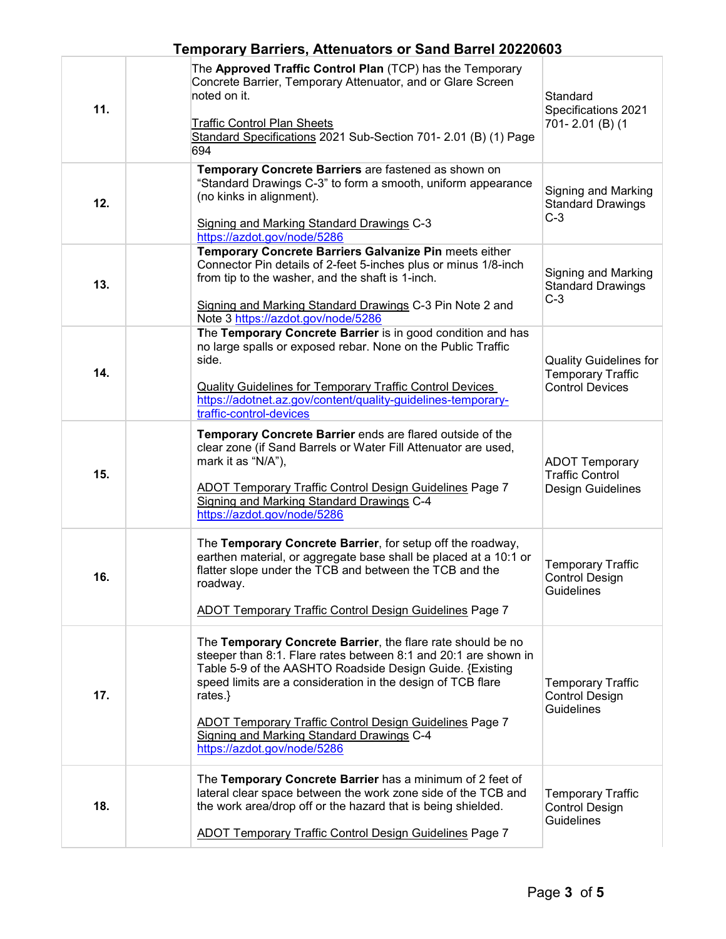| Temporary Barriers, Attenuators or Sand Barrel 20220603 |                                                                                                                                                                                                                                                                                                                                                                                                                        |                                                                                     |  |
|---------------------------------------------------------|------------------------------------------------------------------------------------------------------------------------------------------------------------------------------------------------------------------------------------------------------------------------------------------------------------------------------------------------------------------------------------------------------------------------|-------------------------------------------------------------------------------------|--|
| 11.                                                     | The Approved Traffic Control Plan (TCP) has the Temporary<br>Concrete Barrier, Temporary Attenuator, and or Glare Screen<br>noted on it.<br><b>Traffic Control Plan Sheets</b><br>Standard Specifications 2021 Sub-Section 701- 2.01 (B) (1) Page<br>694                                                                                                                                                               | Standard<br>Specifications 2021<br>701-2.01 (B) (1                                  |  |
| 12.                                                     | Temporary Concrete Barriers are fastened as shown on<br>"Standard Drawings C-3" to form a smooth, uniform appearance<br>(no kinks in alignment).<br><b>Signing and Marking Standard Drawings C-3</b><br>https://azdot.gov/node/5286                                                                                                                                                                                    | Signing and Marking<br><b>Standard Drawings</b><br>$C-3$                            |  |
| 13.                                                     | Temporary Concrete Barriers Galvanize Pin meets either<br>Connector Pin details of 2-feet 5-inches plus or minus 1/8-inch<br>from tip to the washer, and the shaft is 1-inch.<br>Signing and Marking Standard Drawings C-3 Pin Note 2 and<br>Note 3 https://azdot.gov/node/5286                                                                                                                                        | Signing and Marking<br><b>Standard Drawings</b><br>$C-3$                            |  |
| 14.                                                     | The Temporary Concrete Barrier is in good condition and has<br>no large spalls or exposed rebar. None on the Public Traffic<br>side.<br><b>Quality Guidelines for Temporary Traffic Control Devices</b><br>https://adotnet.az.gov/content/quality-guidelines-temporary-<br>traffic-control-devices                                                                                                                     | <b>Quality Guidelines for</b><br><b>Temporary Traffic</b><br><b>Control Devices</b> |  |
| 15.                                                     | Temporary Concrete Barrier ends are flared outside of the<br>clear zone (if Sand Barrels or Water Fill Attenuator are used,<br>mark it as "N/A"),<br><b>ADOT Temporary Traffic Control Design Guidelines Page 7</b><br>Signing and Marking Standard Drawings C-4<br>https://azdot.gov/node/5286                                                                                                                        | <b>ADOT Temporary</b><br><b>Traffic Control</b><br>Design Guidelines                |  |
| 16.                                                     | The Temporary Concrete Barrier, for setup off the roadway,<br>earthen material, or aggregate base shall be placed at a 10:1 or<br>flatter slope under the TCB and between the TCB and the<br>roadway.<br><b>ADOT Temporary Traffic Control Design Guidelines Page 7</b>                                                                                                                                                | <b>Temporary Traffic</b><br>Control Design<br><b>Guidelines</b>                     |  |
| 17.                                                     | The Temporary Concrete Barrier, the flare rate should be no<br>steeper than 8:1. Flare rates between 8:1 and 20:1 are shown in<br>Table 5-9 of the AASHTO Roadside Design Guide. {Existing<br>speed limits are a consideration in the design of TCB flare<br>rates. $\}$<br><b>ADOT Temporary Traffic Control Design Guidelines Page 7</b><br>Signing and Marking Standard Drawings C-4<br>https://azdot.gov/node/5286 | <b>Temporary Traffic</b><br><b>Control Design</b><br>Guidelines                     |  |
| 18.                                                     | The Temporary Concrete Barrier has a minimum of 2 feet of<br>lateral clear space between the work zone side of the TCB and<br>the work area/drop off or the hazard that is being shielded.<br><b>ADOT Temporary Traffic Control Design Guidelines Page 7</b>                                                                                                                                                           | <b>Temporary Traffic</b><br><b>Control Design</b><br>Guidelines                     |  |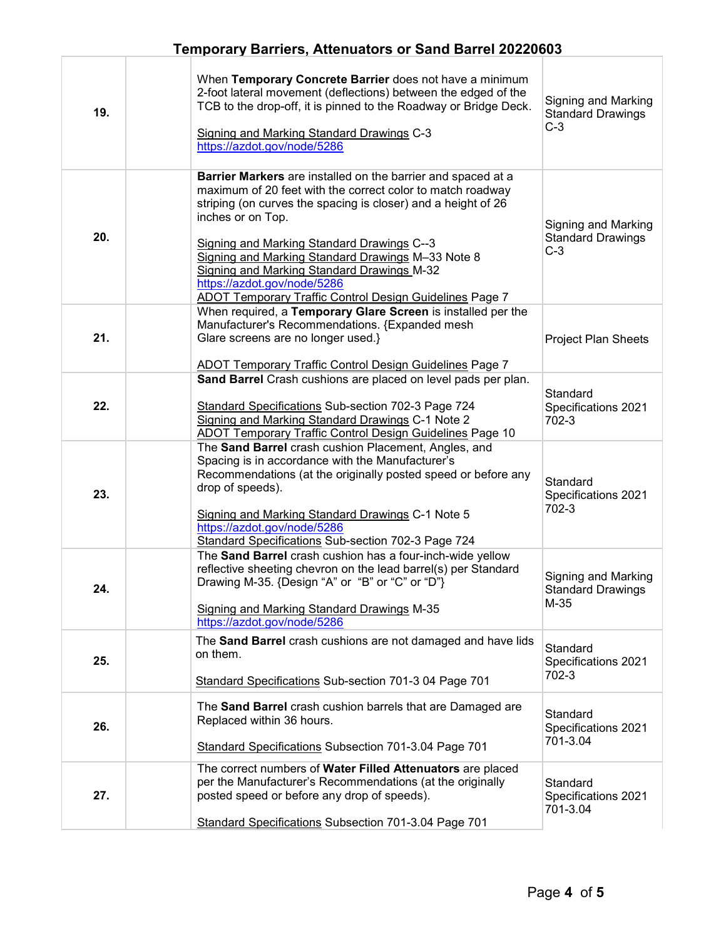## **Temporary Barriers, Attenuators or Sand Barrel 20220603**

Г

| 19. | When Temporary Concrete Barrier does not have a minimum<br>2-foot lateral movement (deflections) between the edged of the<br>TCB to the drop-off, it is pinned to the Roadway or Bridge Deck.<br>Signing and Marking Standard Drawings C-3<br>https://azdot.gov/node/5286                                                                                                                                                                                   | Signing and Marking<br><b>Standard Drawings</b><br>$C-3$ |
|-----|-------------------------------------------------------------------------------------------------------------------------------------------------------------------------------------------------------------------------------------------------------------------------------------------------------------------------------------------------------------------------------------------------------------------------------------------------------------|----------------------------------------------------------|
| 20. | Barrier Markers are installed on the barrier and spaced at a<br>maximum of 20 feet with the correct color to match roadway<br>striping (on curves the spacing is closer) and a height of 26<br>inches or on Top.<br>Signing and Marking Standard Drawings C--3<br>Signing and Marking Standard Drawings M-33 Note 8<br>Signing and Marking Standard Drawings M-32<br>https://azdot.gov/node/5286<br>ADOT Temporary Traffic Control Design Guidelines Page 7 | Signing and Marking<br><b>Standard Drawings</b><br>$C-3$ |
| 21. | When required, a Temporary Glare Screen is installed per the<br>Manufacturer's Recommendations. {Expanded mesh<br>Glare screens are no longer used.}<br><b>ADOT Temporary Traffic Control Design Guidelines Page 7</b>                                                                                                                                                                                                                                      | <b>Project Plan Sheets</b>                               |
| 22. | Sand Barrel Crash cushions are placed on level pads per plan.<br>Standard Specifications Sub-section 702-3 Page 724<br>Signing and Marking Standard Drawings C-1 Note 2<br><b>ADOT Temporary Traffic Control Design Guidelines Page 10</b>                                                                                                                                                                                                                  | Standard<br>Specifications 2021<br>702-3                 |
| 23. | The Sand Barrel crash cushion Placement, Angles, and<br>Spacing is in accordance with the Manufacturer's<br>Recommendations (at the originally posted speed or before any<br>drop of speeds).<br>Signing and Marking Standard Drawings C-1 Note 5<br>https://azdot.gov/node/5286<br>Standard Specifications Sub-section 702-3 Page 724                                                                                                                      | Standard<br>Specifications 2021<br>702-3                 |
| 24. | The Sand Barrel crash cushion has a four-inch-wide yellow<br>reflective sheeting chevron on the lead barrel(s) per Standard<br>Drawing M-35. {Design "A" or "B" or "C" or "D"}<br>Signing and Marking Standard Drawings M-35<br>https://azdot.gov/node/5286                                                                                                                                                                                                 | Signing and Marking<br><b>Standard Drawings</b><br>M-35  |
| 25. | The Sand Barrel crash cushions are not damaged and have lids<br>on them.<br>Standard Specifications Sub-section 701-3 04 Page 701                                                                                                                                                                                                                                                                                                                           | Standard<br>Specifications 2021<br>702-3                 |
| 26. | The Sand Barrel crash cushion barrels that are Damaged are<br>Replaced within 36 hours.<br>Standard Specifications Subsection 701-3.04 Page 701                                                                                                                                                                                                                                                                                                             | Standard<br>Specifications 2021<br>701-3.04              |
| 27. | The correct numbers of Water Filled Attenuators are placed<br>per the Manufacturer's Recommendations (at the originally<br>posted speed or before any drop of speeds).<br>Standard Specifications Subsection 701-3.04 Page 701                                                                                                                                                                                                                              | Standard<br>Specifications 2021<br>701-3.04              |